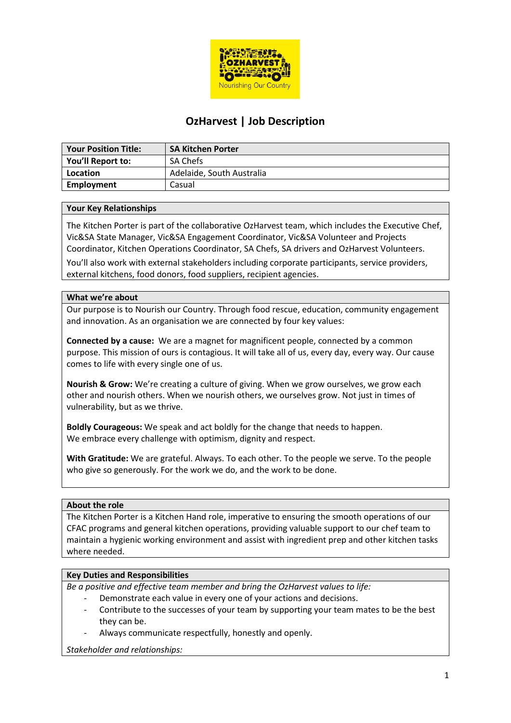

# **OzHarvest | Job Description**

| <b>Your Position Title:</b> | <b>SA Kitchen Porter</b>  |
|-----------------------------|---------------------------|
| You'll Report to:           | <b>SA Chefs</b>           |
| Location                    | Adelaide, South Australia |
| Employment                  | Casual                    |

# **Your Key Relationships**

The Kitchen Porter is part of the collaborative OzHarvest team, which includes the Executive Chef, Vic&SA State Manager, Vic&SA Engagement Coordinator, Vic&SA Volunteer and Projects Coordinator, Kitchen Operations Coordinator, SA Chefs, SA drivers and OzHarvest Volunteers.

You'll also work with external stakeholders including corporate participants, service providers, external kitchens, food donors, food suppliers, recipient agencies.

# **What we're about**

Our purpose is to Nourish our Country. Through food rescue, education, community engagement and innovation. As an organisation we are connected by four key values:

**Connected by a cause:** We are a magnet for magnificent people, connected by a common purpose. This mission of ours is contagious. It will take all of us, every day, every way. Our cause comes to life with every single one of us.

**Nourish & Grow:** We're creating a culture of giving. When we grow ourselves, we grow each other and nourish others. When we nourish others, we ourselves grow. Not just in times of vulnerability, but as we thrive.

**Boldly Courageous:** We speak and act boldly for the change that needs to happen. We embrace every challenge with optimism, dignity and respect.

**With Gratitude:** We are grateful. Always. To each other. To the people we serve. To the people who give so generously. For the work we do, and the work to be done.

# **About the role**

The Kitchen Porter is a Kitchen Hand role, imperative to ensuring the smooth operations of our CFAC programs and general kitchen operations, providing valuable support to our chef team to maintain a hygienic working environment and assist with ingredient prep and other kitchen tasks where needed.

# **Key Duties and Responsibilities**

*Be a positive and effective team member and bring the OzHarvest values to life:*

- Demonstrate each value in every one of your actions and decisions.
- Contribute to the successes of your team by supporting your team mates to be the best they can be.
- Always communicate respectfully, honestly and openly.

*Stakeholder and relationships:*